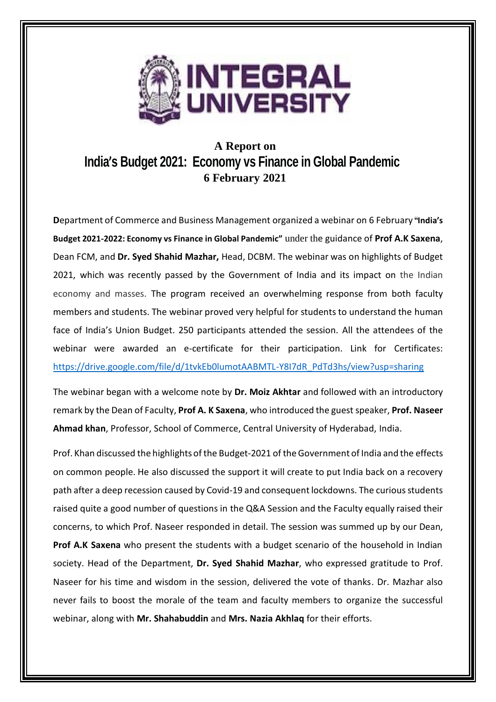

## **A Report on India's Budget 2021: Economy vs Finance in Global Pandemic 6 February 2021**

**D**epartment of Commerce and Business Management organized a webinar on 6 February **"India's Budget 2021-2022: Economy vs Finance in Global Pandemic"** under the guidance of **Prof A.K Saxena**, Dean FCM, and **Dr. Syed Shahid Mazhar,** Head, DCBM. The webinar was on highlights of Budget 2021, which was recently passed by the Government of India and its impact on the Indian economy and masses. The program received an overwhelming response from both faculty members and students. The webinar proved very helpful for students to understand the human face of India's Union Budget. 250 participants attended the session. All the attendees of the webinar were awarded an e-certificate for their participation. Link for Certificates: [https://drive.google.com/file/d/1tvkEb0lumotAABMTL-Y8I7dR\\_PdTd3hs/view?usp=sharing](https://drive.google.com/file/d/1tvkEb0lumotAABMTL-Y8I7dR_PdTd3hs/view?usp=sharing)

The webinar began with a welcome note by **Dr. Moiz Akhtar** and followed with an introductory remark by the Dean of Faculty, **Prof A. K Saxena**, who introduced the guest speaker, **Prof. Naseer Ahmad khan**, Professor, School of Commerce, Central University of Hyderabad, India.

Prof. Khan discussed the highlights of the Budget-2021 of the Government of India and the effects on common people. He also discussed the support it will create to put India back on a recovery path after a deep recession caused by Covid-19 and consequent lockdowns. The curious students raised quite a good number of questions in the Q&A Session and the Faculty equally raised their concerns, to which Prof. Naseer responded in detail. The session was summed up by our Dean, **Prof A.K Saxena** who present the students with a budget scenario of the household in Indian society. Head of the Department, **Dr. Syed Shahid Mazhar**, who expressed gratitude to Prof. Naseer for his time and wisdom in the session, delivered the vote of thanks. Dr. Mazhar also never fails to boost the morale of the team and faculty members to organize the successful webinar, along with **Mr. Shahabuddin** and **Mrs. Nazia Akhlaq** for their efforts.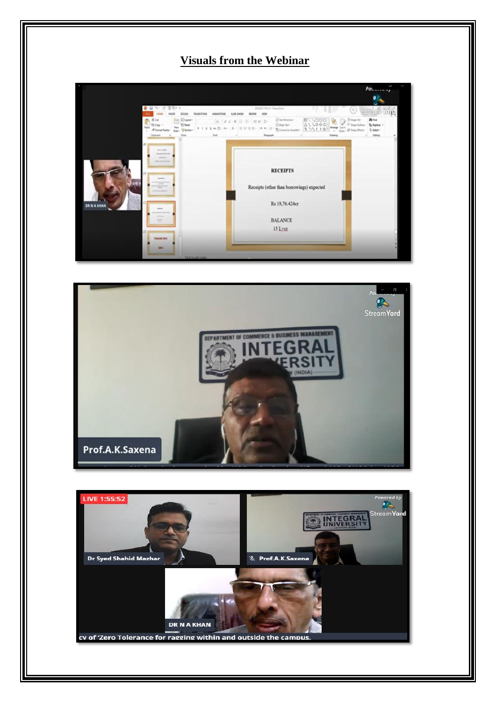## **Visuals from the Webinar**